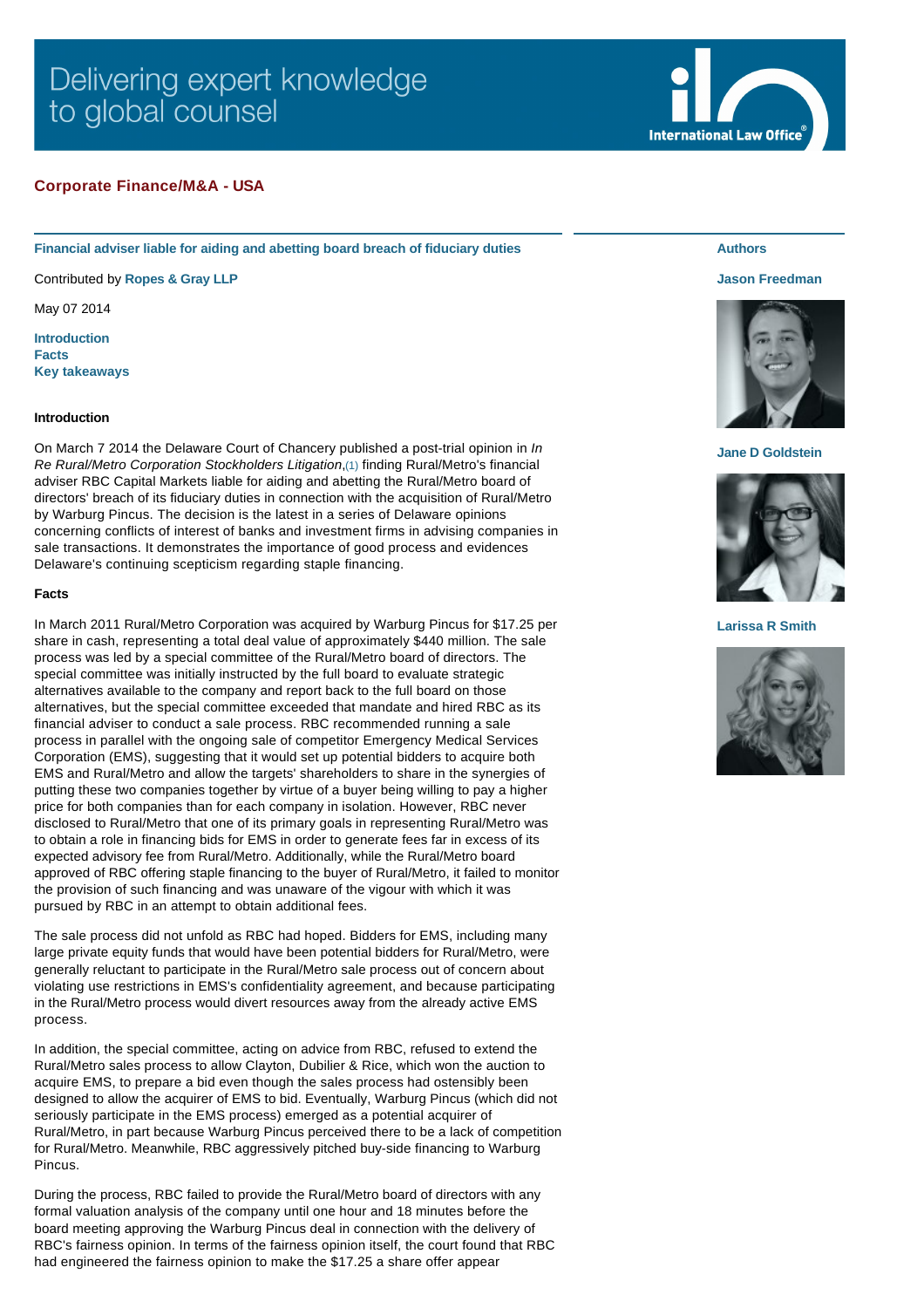# Delivering expert knowledge to global counsel

# **Corporate Finance/M&A - USA**

**Financial adviser liable for aiding and abetting board breach of fiduciary duties**

Contributed by **[Ropes & Gray LLP](http://www.internationallawoffice.com/gesr.ashx?l=7L6M60J)**

May 07 2014

**[Introduction](#page-0-0) [Facts](#page-0-1) [Key takeaways](#page-1-0)**

## <span id="page-0-0"></span>**Introduction**

On March 7 2014 the Delaware Court of Chancery published a post-trial opinion in *In Re Rural/Metro Corporation Stockholders Litigation*,[\(1\)](#page-2-0) finding Rural/Metro's financial adviser RBC Capital Markets liable for aiding and abetting the Rural/Metro board of directors' breach of its fiduciary duties in connection with the acquisition of Rural/Metro by Warburg Pincus. The decision is the latest in a series of Delaware opinions concerning conflicts of interest of banks and investment firms in advising companies in sale transactions. It demonstrates the importance of good process and evidences Delaware's continuing scepticism regarding staple financing.

#### <span id="page-0-1"></span>**Facts**

In March 2011 Rural/Metro Corporation was acquired by Warburg Pincus for \$17.25 per share in cash, representing a total deal value of approximately \$440 million. The sale process was led by a special committee of the Rural/Metro board of directors. The special committee was initially instructed by the full board to evaluate strategic alternatives available to the company and report back to the full board on those alternatives, but the special committee exceeded that mandate and hired RBC as its financial adviser to conduct a sale process. RBC recommended running a sale process in parallel with the ongoing sale of competitor Emergency Medical Services Corporation (EMS), suggesting that it would set up potential bidders to acquire both EMS and Rural/Metro and allow the targets' shareholders to share in the synergies of putting these two companies together by virtue of a buyer being willing to pay a higher price for both companies than for each company in isolation. However, RBC never disclosed to Rural/Metro that one of its primary goals in representing Rural/Metro was to obtain a role in financing bids for EMS in order to generate fees far in excess of its expected advisory fee from Rural/Metro. Additionally, while the Rural/Metro board approved of RBC offering staple financing to the buyer of Rural/Metro, it failed to monitor the provision of such financing and was unaware of the vigour with which it was pursued by RBC in an attempt to obtain additional fees.

The sale process did not unfold as RBC had hoped. Bidders for EMS, including many large private equity funds that would have been potential bidders for Rural/Metro, were generally reluctant to participate in the Rural/Metro sale process out of concern about violating use restrictions in EMS's confidentiality agreement, and because participating in the Rural/Metro process would divert resources away from the already active EMS process.

In addition, the special committee, acting on advice from RBC, refused to extend the Rural/Metro sales process to allow Clayton, Dubilier & Rice, which won the auction to acquire EMS, to prepare a bid even though the sales process had ostensibly been designed to allow the acquirer of EMS to bid. Eventually, Warburg Pincus (which did not seriously participate in the EMS process) emerged as a potential acquirer of Rural/Metro, in part because Warburg Pincus perceived there to be a lack of competition for Rural/Metro. Meanwhile, RBC aggressively pitched buy-side financing to Warburg Pincus.

During the process, RBC failed to provide the Rural/Metro board of directors with any formal valuation analysis of the company until one hour and 18 minutes before the board meeting approving the Warburg Pincus deal in connection with the delivery of RBC's fairness opinion. In terms of the fairness opinion itself, the court found that RBC had engineered the fairness opinion to make the \$17.25 a share offer appear

# **Authors**

### **[Jason Freedman](http://www.internationallawoffice.com/gesr.ashx?l=7L6M60T)**



### **[Jane D Goldstein](http://www.internationallawoffice.com/gesr.ashx?l=7L6M627)**



### **[Larissa R Smith](http://www.internationallawoffice.com/gesr.ashx?l=7L6M618)**



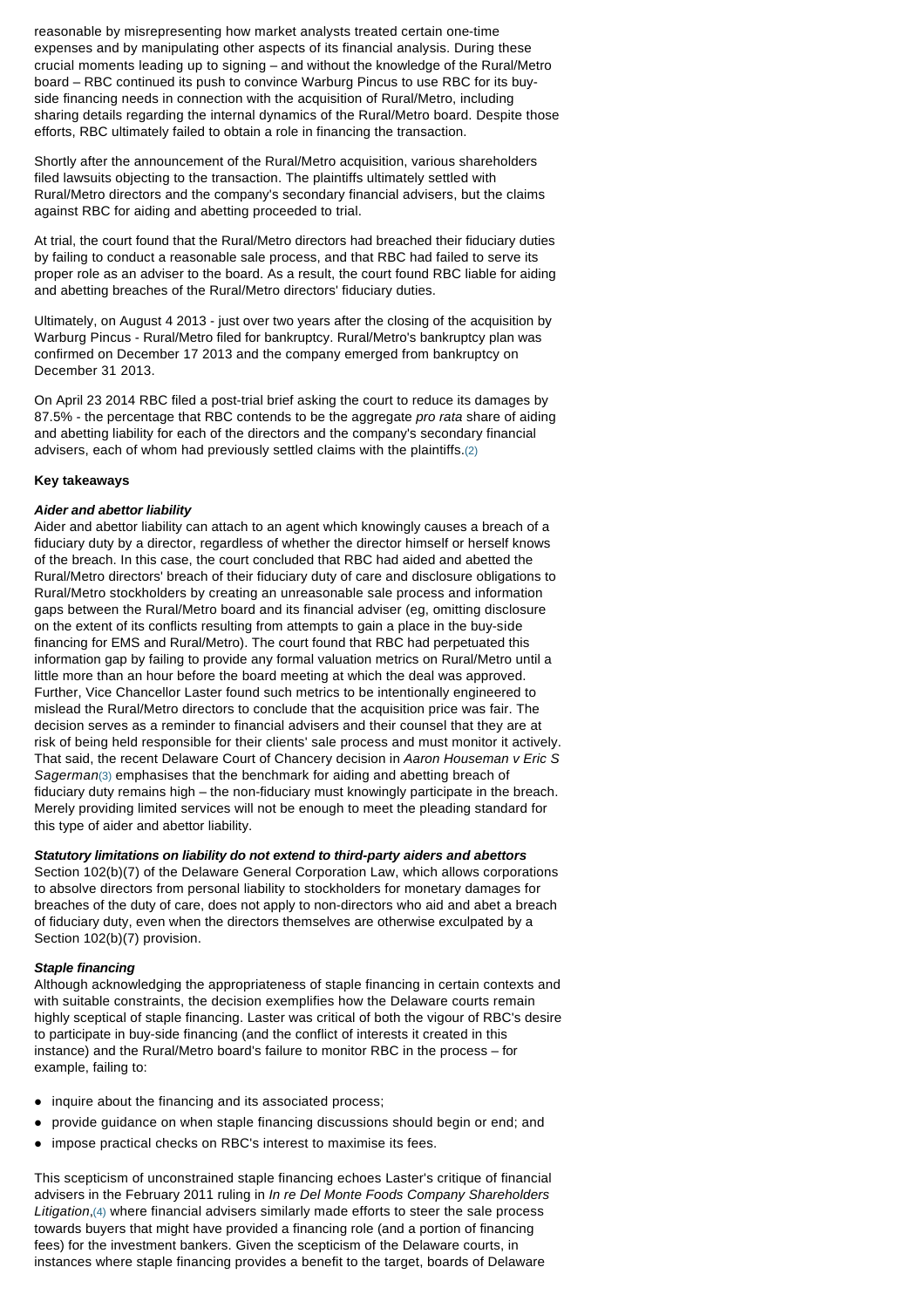reasonable by misrepresenting how market analysts treated certain one-time expenses and by manipulating other aspects of its financial analysis. During these crucial moments leading up to signing – and without the knowledge of the Rural/Metro board – RBC continued its push to convince Warburg Pincus to use RBC for its buyside financing needs in connection with the acquisition of Rural/Metro, including sharing details regarding the internal dynamics of the Rural/Metro board. Despite those efforts, RBC ultimately failed to obtain a role in financing the transaction.

Shortly after the announcement of the Rural/Metro acquisition, various shareholders filed lawsuits objecting to the transaction. The plaintiffs ultimately settled with Rural/Metro directors and the company's secondary financial advisers, but the claims against RBC for aiding and abetting proceeded to trial.

At trial, the court found that the Rural/Metro directors had breached their fiduciary duties by failing to conduct a reasonable sale process, and that RBC had failed to serve its proper role as an adviser to the board. As a result, the court found RBC liable for aiding and abetting breaches of the Rural/Metro directors' fiduciary duties.

Ultimately, on August 4 2013 - just over two years after the closing of the acquisition by Warburg Pincus - Rural/Metro filed for bankruptcy. Rural/Metro's bankruptcy plan was confirmed on December 17 2013 and the company emerged from bankruptcy on December 31 2013.

On April 23 2014 RBC filed a post-trial brief asking the court to reduce its damages by 87.5% - the percentage that RBC contends to be the aggregate *pro rata* share of aiding and abetting liability for each of the directors and the company's secondary financial advisers, each of whom had previously settled claims with the plaintiffs.[\(2\)](#page-2-1)

# <span id="page-1-0"></span>**Key takeaways**

# *Aider and abettor liability*

Aider and abettor liability can attach to an agent which knowingly causes a breach of a fiduciary duty by a director, regardless of whether the director himself or herself knows of the breach. In this case, the court concluded that RBC had aided and abetted the Rural/Metro directors' breach of their fiduciary duty of care and disclosure obligations to Rural/Metro stockholders by creating an unreasonable sale process and information gaps between the Rural/Metro board and its financial adviser (eg, omitting disclosure on the extent of its conflicts resulting from attempts to gain a place in the buy-side financing for EMS and Rural/Metro). The court found that RBC had perpetuated this information gap by failing to provide any formal valuation metrics on Rural/Metro until a little more than an hour before the board meeting at which the deal was approved. Further, Vice Chancellor Laster found such metrics to be intentionally engineered to mislead the Rural/Metro directors to conclude that the acquisition price was fair. The decision serves as a reminder to financial advisers and their counsel that they are at risk of being held responsible for their clients' sale process and must monitor it actively. That said, the recent Delaware Court of Chancery decision in *Aaron Houseman v Eric S Sagerman*[\(3\)](#page-2-2) emphasises that the benchmark for aiding and abetting breach of fiduciary duty remains high – the non-fiduciary must knowingly participate in the breach. Merely providing limited services will not be enough to meet the pleading standard for this type of aider and abettor liability.

# *Statutory limitations on liability do not extend to third-party aiders and abettors*

Section 102(b)(7) of the Delaware General Corporation Law, which allows corporations to absolve directors from personal liability to stockholders for monetary damages for breaches of the duty of care, does not apply to non-directors who aid and abet a breach of fiduciary duty, even when the directors themselves are otherwise exculpated by a Section 102(b)(7) provision.

# *Staple financing*

Although acknowledging the appropriateness of staple financing in certain contexts and with suitable constraints, the decision exemplifies how the Delaware courts remain highly sceptical of staple financing. Laster was critical of both the vigour of RBC's desire to participate in buy-side financing (and the conflict of interests it created in this instance) and the Rural/Metro board's failure to monitor RBC in the process – for example, failing to:

- inquire about the financing and its associated process:
- l provide guidance on when staple financing discussions should begin or end; and
- impose practical checks on RBC's interest to maximise its fees.

This scepticism of unconstrained staple financing echoes Laster's critique of financial advisers in the February 2011 ruling in *In re Del Monte Foods Company Shareholders Litigation*,[\(4\)](#page-2-3) where financial advisers similarly made efforts to steer the sale process towards buyers that might have provided a financing role (and a portion of financing fees) for the investment bankers. Given the scepticism of the Delaware courts, in instances where staple financing provides a benefit to the target, boards of Delaware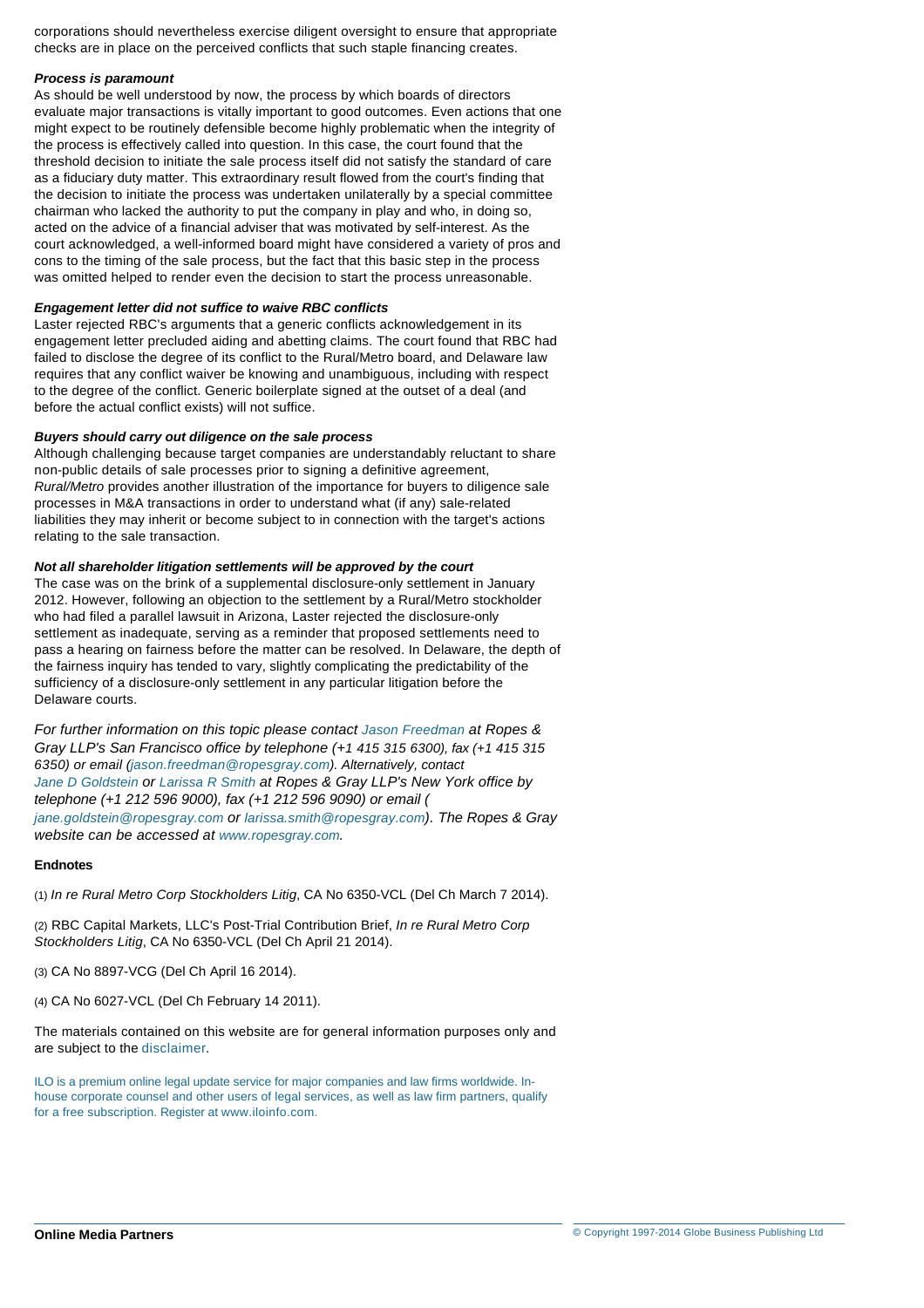corporations should nevertheless exercise diligent oversight to ensure that appropriate checks are in place on the perceived conflicts that such staple financing creates.

# *Process is paramount*

As should be well understood by now, the process by which boards of directors evaluate major transactions is vitally important to good outcomes. Even actions that one might expect to be routinely defensible become highly problematic when the integrity of the process is effectively called into question. In this case, the court found that the threshold decision to initiate the sale process itself did not satisfy the standard of care as a fiduciary duty matter. This extraordinary result flowed from the court's finding that the decision to initiate the process was undertaken unilaterally by a special committee chairman who lacked the authority to put the company in play and who, in doing so, acted on the advice of a financial adviser that was motivated by self-interest. As the court acknowledged, a well-informed board might have considered a variety of pros and cons to the timing of the sale process, but the fact that this basic step in the process was omitted helped to render even the decision to start the process unreasonable.

## *Engagement letter did not suffice to waive RBC conflicts*

Laster rejected RBC's arguments that a generic conflicts acknowledgement in its engagement letter precluded aiding and abetting claims. The court found that RBC had failed to disclose the degree of its conflict to the Rural/Metro board, and Delaware law requires that any conflict waiver be knowing and unambiguous, including with respect to the degree of the conflict. Generic boilerplate signed at the outset of a deal (and before the actual conflict exists) will not suffice.

## *Buyers should carry out diligence on the sale process*

Although challenging because target companies are understandably reluctant to share non-public details of sale processes prior to signing a definitive agreement, *Rural/Metro* provides another illustration of the importance for buyers to diligence sale processes in M&A transactions in order to understand what (if any) sale-related liabilities they may inherit or become subject to in connection with the target's actions relating to the sale transaction.

## *Not all shareholder litigation settlements will be approved by the court*

The case was on the brink of a supplemental disclosure-only settlement in January 2012. However, following an objection to the settlement by a Rural/Metro stockholder who had filed a parallel lawsuit in Arizona, Laster rejected the disclosure-only settlement as inadequate, serving as a reminder that proposed settlements need to pass a hearing on fairness before the matter can be resolved. In Delaware, the depth of the fairness inquiry has tended to vary, slightly complicating the predictability of the sufficiency of a disclosure-only settlement in any particular litigation before the Delaware courts.

*For further information on this topic please contact [Jason Freedman](http://www.internationallawoffice.com/gesr.ashx?l=7L6M60T) at Ropes & Gray LLP's San Francisco office by telephone (+1 415 315 6300), fax (+1 415 315 [6350\) or email \(j](http://www.internationallawoffice.com/gesr.ashx?l=7L6M615)[ason.freedman@ropesgray.com](mailto:jason.freedman@ropesgray.com?subject=Article%20on%20ILO)). Alternatively, contact Jane D Goldstein or [Larissa R Smith](http://www.internationallawoffice.com/gesr.ashx?l=7L6M618) at Ropes & Gray LLP's New York office by [telephone \(+1 212 596 9000\),](mailto:jane.goldstein@ropesgray.com?subject=Article%20on%20ILO) fax (+1 212 596 9090) or email ( jane.goldstein@ropesgray.com or [larissa.smith@ropesgray.com](mailto:larrisa.smith@ropesgray.com?subject=Article%20on%20ILO))*. *The Ropes & Gray website can be accessed at [www.ropesgray.com](http://www.internationallawoffice.com/gesr.ashx?l=7L6M61E).*

# **Endnotes**

<span id="page-2-0"></span>(1) *In re Rural Metro Corp Stockholders Litig*, CA No 6350-VCL (Del Ch March 7 2014).

<span id="page-2-1"></span>(2) RBC Capital Markets, LLC's Post-Trial Contribution Brief, *In re Rural Metro Corp Stockholders Litig*, CA No 6350-VCL (Del Ch April 21 2014).

<span id="page-2-2"></span>(3) CA No 8897-VCG (Del Ch April 16 2014).

<span id="page-2-3"></span>(4) CA No 6027-VCL (Del Ch February 14 2011).

The materials contained on this website are for general information purposes only and are subject to the [disclaimer.](http://www.internationallawoffice.com/gesr.ashx?l=7L6M61P)

ILO is a premium online legal update service for major companies and law firms worldwide. Inhouse corporate counsel and other users of legal services, as well as law firm partners, qualify for a free subscription. Register at [www.iloinfo.com](http://www.internationallawoffice.com/gesr.ashx?l=7L6M61S).